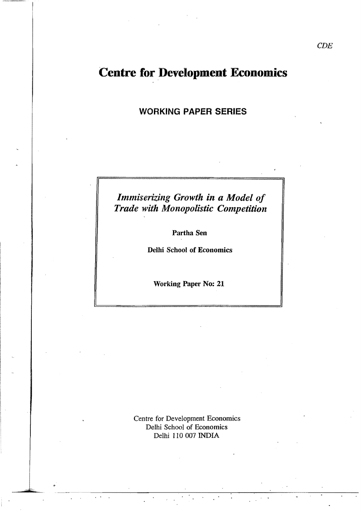# Centre for Development Economics

## WORKING PAPER SERIES

## *Immiserizing Growth in a Model of Trade with Monopolistic Competition*

Partha Sen

Delhi School of Economics

Working Paper No: 21

Centre for Development Economics Delhi School of Economics Delhi 110 007 INDIA

 $\overline{\phantom{a}}$ .

~""---~ ----------~-----:-----,-----------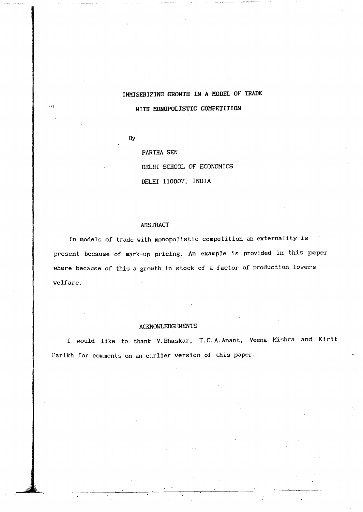## IMMISERIZING GROWTH **IN** A MODEL OF TRADE WITH MONOPOLISTIC COMPETITION

By

PARTHA SEN DELHI SCHOOL OF ECONOMICS DELHI 110007, INDIA

#### ABSTRACT

In models of trade with monopolistic competition an externality is present because of mark-up pricing. An example is provided in this paper where because of this a growth in stock of a factor of production lowers welfare.

#### ACKNOWLEDGEMENTS

I would like to thank V.Bhaskar, T.C.A.Anant, Veena Mishra and Kirit Parikh for comments on an earlier version of this paper.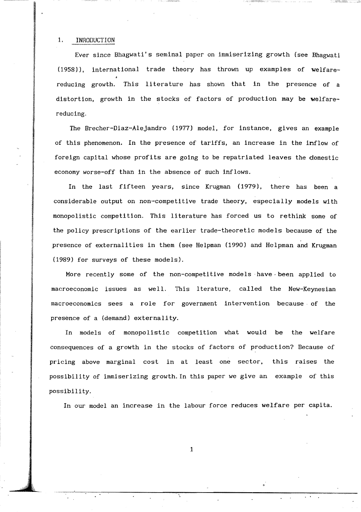#### 1. INRODUCTION

Ever since Bhagwati's seminal paper on immiserizing growth (see Bhagwati  $(1958)$ ), international trade theory has thrown up examples of welfarereducing growth. This literature has shown that in the presence of a distortion, growth in the stocks of factors of production may be welfarereducing,

The Brecher-Diaz-Alejandro (1977) model, for instance, gives an example of this phenomenon. In the presence of tariffs, an increase in the inflow of foreign capital whose profits are going to be repatriated leaves the domestic economy worse-off than in the absence of such inflows.

In the last fifteen years, since Krugman (1979), there has been a considerable output on non-competitive trade theory, especially models with monopolistic competition. This literature has forced us to rethink some of the policy prescriptions of the earlier trade-theoretic models because of the presence of externalities in them (see Helpman (1990) and Helpman and Krugman (1989) for surveys of these models),

More recently some of the non-competitive models have been applied to macroeconomic issues as well. This lterature, called the New-Keynesian macroeconomics sees a role for government intervention because, of the presence of a (demand) externality.

In models of monopolistic competition what would be the welfare consequences of a growth in the stocks of factors of production? Because of pricing above marginal cost in at least one sector. this raises the possibility of immiserizing growth. In this paper we give an example of this possibility.

In our model an increase in the labour force reduces welfare per capita.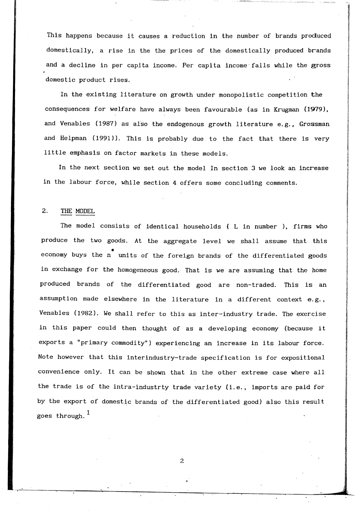This happens because 1t causes a reduction in the number of brands produced domestically, a rise in the the prices of the domestically produced brands and a decline in per capita income. Per capita income'falls while the gross domestic product rises.

In the existing literature on growth under monopolistic competition the consequences for welfare have always been favourable (as in Krugman (1979), and Venables (1987) as also the endogenous growth literature e.g., Grossman and Helpman (1991)). This is probably due to the fact that there is very little emphasis on factor markets in these models.

In the next section we set out the model In section 3 we look an increase in the labour force, while section 4 offers some concluding comments.

### 2. THE MODEL

The model consists of identical households ( L in number ), firms who produce the two goods. At the aggregate level we shall assume that this economy buys the  $n^*$  units of the foreign brands of the differentiated goods in exchange for the homogeneous good. That is we are assuming that the home produced brands of the differentiated good are non-traded. This is an assumption made elsewhere in the literature in a different context e.g., Venables (1982). We shall refer to this as inter-industry trade. The exercise in this paper could then thought of as a developing economy (because it exports a "primary commodity") experiencing an increase in its labour force. Note however that this interindustry-trade specification is for expositional convenience only. It can be shown that in the other extreme case where all the trade is of the intra-industrty trade variety (i.e., imports are paid for by the export of domestic brands of the differentiated good) also this result goes through.  $<sup>1</sup>$ </sup>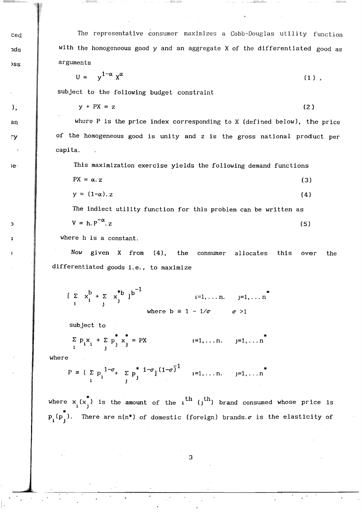The representative consumer maximizes a Cobb-Douglas utility function with the homogeneous good y and an aggregate X of the differentiated good as arguments

$$
U = y^{1-\alpha} x^{\alpha} \tag{1}
$$

subject to the following budget constraint

$$
y + PX = z \tag{2}
$$

where P is the price index corresponding to X (defined below), the price of the homogeneous good is unity and z is the gross national product per capita.

This maximization exercise yields the following demand functions

$$
PX = \alpha. z \tag{3}
$$

$$
y = (1-\alpha) \cdot z \tag{4}
$$

The indiect utility function for this problem can be written as  $V = h n^{-\alpha}$ 

$$
\mathbf{v} = \mathbf{n}.\mathbf{r} \quad \text{.z} \tag{5}
$$

where h is a constant.

Now given X from (4), the allocates consumer this the over differentiated goods i.e., to maximize

 $\left[\sum_{i} x_i^{b} + \sum_{i} x_j^{*b}\right]^{b^{-1}}$  $j=1,\ldots n$  $i=1, \ldots n$ . where  $b = 1 - 1/\sigma$  $\sigma > 1$ 

subject to

$$
\sum_{i} p_{i} x_{i} + \sum_{j} p_{j}^{*} x_{j}^{*} = PX \qquad i=1,...n. \qquad j=1,...n^{*}
$$

where

ced

ads

 $3S<sub>S</sub>$ 

 $\mathcal{L}$ 

 $an$ 

ΓV.

te-

 $\overline{ }$ 

$$
P = \left[ \sum_{i} p_i \frac{1 - \sigma_i}{j} + \sum_{j} p_j^* \frac{1 - \sigma_j (1 - \sigma_i^{-1})}{j} \right]_{i=1, ..., n, j=1, ... n}^{*}
$$

where  $x_i(x_i^*)$  is the amount of the  $i$ <sup>th</sup> ( $j$ <sup>th</sup>) brand consumed whose price is  $p_i(p_i)$ . There are  $n(n^*)$  of domestic (foreign) brands.  $\sigma$  is the elasticity of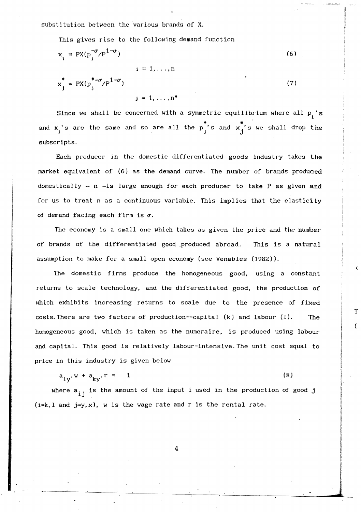substitution between the various brands of X.

This gives rise to the following demand function

$$
x_{i} = PX(p_{i}^{-\sigma}/p^{1-\sigma})
$$
\n
$$
x_{j}^{*} = PX(p_{j}^{*-\sigma}/p^{1-\sigma})
$$
\n
$$
y_{j} = 1, ..., p^{*}
$$
\n(7)

Since we shall be concerned with a symmetric equilibrium where all  $p_i$ 's and  $x_i$ 's are the same and so are all the  $p_j^*$ 's and  $x_j^*$ 's we shall drop the subscripts.

Each producer in the domestic differentiated goods industry takes the market equivalent of (6) as the demand curve. The number of brands produced domestically  $-$  n  $-$ is large enough for each producer to take P as given and for us to treat n as a continuous variable. This implies that the elasticity of demand facing each firm is  $\sigma$ .

The economy is a small one which takes as given the price and the number of brands of the differentiated good \_produced abroad. This is a natural assumption to make for a small open economy (see Venables (1982)).

(

T

The domestic firms produce the homogeneous good, using a constant returns to scale technology, and the differentiated good, the production of which exhibits increasing returns to scale due to the presence of fixed costs. There are two factors of production--capital (k) and labour (1). The homogeneous good, which is taken as the numeraire, is produced using labour and capital. This good is relatively labour-intensive. The unit cost equal to price in this industry is given below

$$
a_{1v} \cdot w + a_{kv} \cdot r = 1 \tag{8}
$$

where  $a_{i,j}$  is the amount of the input i used in the production of good j  $(i=k, l \text{ and } j=y, x)$ , w is the wage rate and r is the rental rate.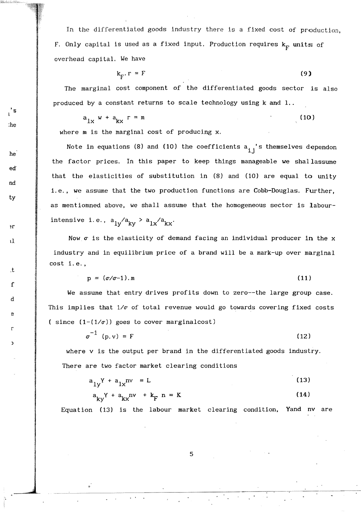In the differentiated goods industry there is a fixed cost of production, F. Only capital is used as a fixed input. Production requires  $k_F$  units of overhead capital. We have

$$
k_{rr} \cdot r = F \tag{9}
$$

The marginal cost component of the differentiated goods sector 1s also produced by a constant returns to scale technology using k and 1..

$$
a_{1x} w + a_{kx} r = m \tag{10}
$$

where m is the marginal cost of producing x.

's l

:he

nd

 $ed$ 

he

ty

II

ŧΓ

. t

f

d

e

r

)

Note in equations (8) and (10) the coefficients  $a_{i,i}$ 's themselves dependon the factor prices. In this paper to keep things manageable we shallassume that the elasticities of substitution in (8) and (10) are equal to unity i.e., we assume that the two production functions are Cobb-Douglas. Further, as mentiomned above, we shall assume that the homogeneous sector is labourintensive i.e.,  $a_{1y}/a_{ky} > a_{1x}/a_{kx}$ .

Now  $\sigma$  is the elasticity of demand facing an individual producer in the  $x$ industry and in equilibrium price of a brand will be a mark-up over marginal cost i.e.,

$$
p = (\sigma/\sigma - 1).m \tag{11}
$$

We assume that entry drives profits down to zero--the large group case. This implies that  $1/\sigma$  of total revenue would go towards covering fixed costs ( since  $(1-(1/\sigma))$  goes to cover marginalcost)

$$
\sigma^{-1} (p.v) = F \tag{12}
$$

where v is the output per brand in the differentiated goods industry. There are two factor market clearing conditions

$$
a_{1y}Y + a_{1x}nv = L \tag{13}
$$

$$
a_{kv}Y + a_{kx}nv + k_{F}n = K
$$
 (14)

Equation (13) is the labour market clearing condition, Yand nv

5

...--.--~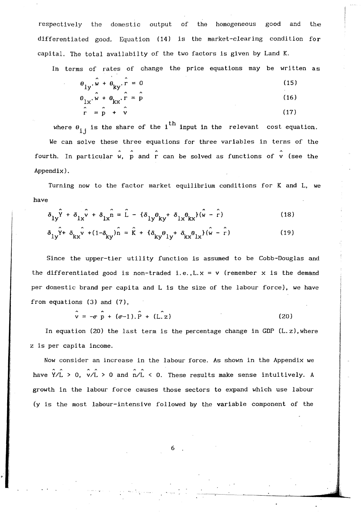respectively the domestic output of the homogeneous good and the differentiated good, Equation (14) is the market-clearing condition for capital. The total availabilty of the two factors is given by Land K.

In terms of rates of change the price equations may be written as

$$
\theta_{1y} \cdot \hat{w} + \theta_{ky} \cdot \hat{r} = 0
$$
\n
$$
\theta_{1x} \cdot \hat{w} + \theta_{kx} \cdot \hat{r} = \hat{p}
$$
\n(15)\n
$$
\hat{r} = \hat{p} + \hat{v}
$$
\n(16)

where  $\theta_{ij}$  is the share of the i<sup>th</sup> input in the relevant cost equation. We can solve these three equations for three variables in terms of the fourth. In particular  $\hat{w}$ ,  $\hat{p}$  and  $\hat{r}$  can be solved as functions of  $\hat{v}$  (see the Appendix).

Turning now to the factor market equilibrium conditions for K and L, we have

$$
\delta_{1y}\hat{Y} + \delta_{1x}\hat{V} + \delta_{1x}\hat{n} = \hat{L} - {\delta_{1y}\theta_{ky}} + \delta_{1x}\theta_{kx}({\hat{w} - \hat{r}})
$$
 (18)

$$
\delta_{1y}\hat{Y} + \delta_{kx}\hat{V} + (1 - \delta_{ky})\hat{n} = \hat{K} + \{\delta_{ky}\theta_{1y} + \delta_{kx}\theta_{1x}\}(\hat{W} - \hat{r})
$$
\n(19)

Since the upper-tier utility function is assumed to be Cobb-Douglas and the differentiated good is non-traded i.e.,  $L \times = v$  (remember  $x$  is the demand per domestic brand per capita and L is the size of the labour force), we have from equations (3) and (7),

 $\hat{v} = -\sigma \hat{p} + (\sigma - 1).\hat{P} + (L.z)$  (20)

In equation (20) the last term is the percentage change in GDP  $(L, z)$ , where Z is per capita income.

Now consider an increase in the labour force. As shown in the Appendix we have  $\overline{Y/L}$  > 0,  $\overline{V/L}$  > 0 and  $\overline{n/L}$  < 0. These results make sense intuitively. A growth in the labour force causes those sectors to expand which use labour (y is the most labour-intensive followed by the variable component of the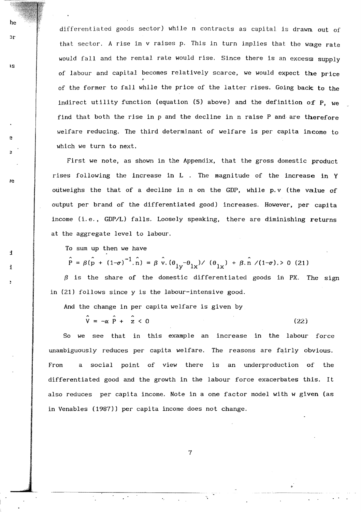differentiated goods sector) while n contracts as capital is drawn out of that sector. A rise in  $v$  raises  $p$ . This in turn implies that the wage rate would fall and the rental rate would rise. Since there is an excess supply of labour and capital becomes relatively scarce, we would expect the price of the former to fall while the price of the latter rises. Going back to the indirect utility function (equation (5) above) and the definition of p. we find that both the rise in p and the decline in n raise P and are therefore welfare reducing. The third determinant of welfare is per capita income to which we turn to next.

First we note, as shown in the Appendix, that the gross domestic product rises following the increase in  $L$  . The magnitude of the increase in  $Y$ outweighs the that of a decline in n on the GDP, while p. v (the value of output per brand of the differentiated good) increases. However, per capita income (i. e., GDP/L) falls. Loosely speaking, there are diminishing returns at the aggregate level to labour.

To sum up then we have

i

j

is

he

эr

e

Ie

 $\hat{P} = \beta(\hat{p} + (1-\sigma)^{-1} \cdot \hat{n}) = \beta \hat{v} \cdot (\theta_{1v} - \theta_{1x}) / (\theta_{1x}) + \beta \cdot \hat{n} / (1-\sigma) > 0$  (21)

 $\beta$  is the share of the domestic differentiated goods in PX. The sign in (21) follows since y is the labour-intensive good.

And the change in per capita welfare is given by

 $\hat{V} = -\alpha \hat{P} + \hat{z} < 0$  (22)

So we see that in this example an increase in the labour force unambiguously reduces per capita welfare. The reasons are fairly obvious. From a social point of view there is an underproduction of the differentiated good and the growth in the labour force exacerbates this. It also reduces per capita income. Note in a one factor model with w given (as in Venables (1987)) per capita income does not change.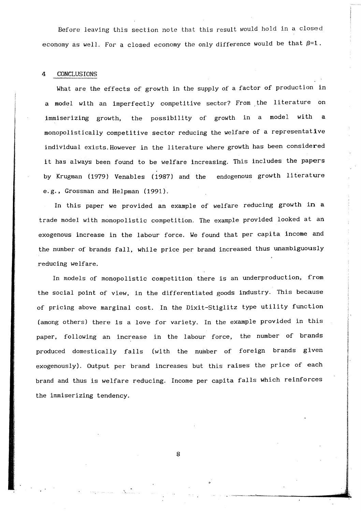Before leaving this section note that this result would hold in a closed economy as well. For a closed economy the only difference would be that  $\beta=1$ .

#### 4 CONCLUS IONS

What are the effects of growth in the supply of a factor of production in a model with an imperfectly competitive sector? From the literature on immiserizing growth, the possibility of growth in a model with a monopolistically competitive sector reducing the welfare of a representative individual exists. However in the literature where growth has been considered it has always been found to be welfare increasing. This includes the papers by Krugman (1979) Venables (1987) and the endogenous growth literature e.g., Grossman and Helpman (1991).

In this paper we provided an example of welfare reducing growth in a trade model with monopolistic competition. The example provided looked at an exogenous increase in the labour force. We found that per capita income and the number of brands fall, while price per brand increased thus unambiguously reducing welfare.

In models of monopolistic competition there is an underproduction, from the social point of view, in the differentiated goods industry. This because of pricing above marginal cost. In the Dixit-Stiglitz type utility function (among others) there is a love for variety. In the example provided in this paper, following an increase in the labour force, the number of brands produced domestically falls (with the number of foreign brands given exogenously). Output per brand increases but this raises the price of each brand and thus is welfare reducing. Income per capita falls which reinforces the immiserizing tendency.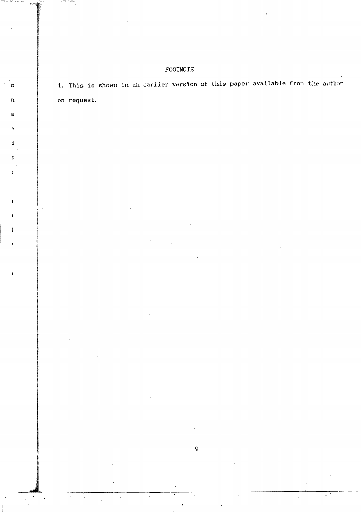### FOOTNOTE

 $\pmb{\Pi}$ 

 $\mathbf n$ 

 $\overline{\mathbf{a}}$ 

 $\overline{B}$ 

 $\mathbf k$ 

 $\overline{z}$ 

 $\bullet$ 

1. This is shown in an earlier version of this paper available from the author on request.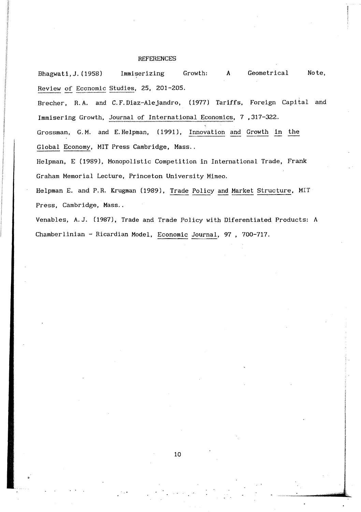#### **REFERENCES**

Bhagwati, J. (1958) Immiserizing Growth: A Geometrical Note, Review of Economic Studies, 25, 201-205.

Brecher, R.A. and C.F.Diaz-Alejandro, (1977) Tariffs, Foreign Capital and Immiserlng Growth, Journal of International Economics, 7 ,317-322.

Grossman, G. M. and E. Helpman, (1991), Innovation and Growth in the Global Economy, MIT Press Cambridge, Mass..

Helpman, E (1989), Monopolistic Competition in International Trade, Frank Graham Memorial Lecture, Princeton University Mimeo.

Helpman E. and P.R. Krugman (1989), Trade Policy and Market Structure, MIT Press, Cambridge, Mass..

Venables, A.J. (1987), Trade and Trade Policy with Diferentiated Products: A Chamberlinian - Ricardian Model. Economic Journal, 97 , 700-717.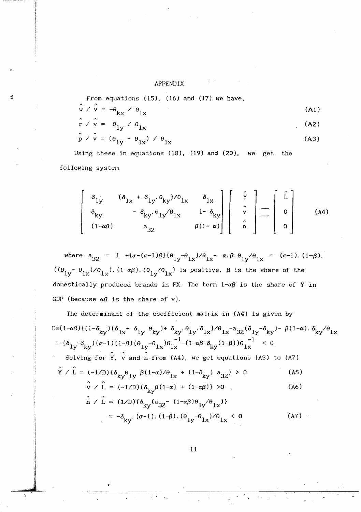#### APPENDIX

H

From equations  $(15)$ ,  $(16)$  and  $(17)$  we have,  $\hat{\dot{\bf w}}\,\rightleftharpoondown\,\hat{\dot{\bf v}}\,=\,-\theta_{\bf kx}\,\rightleftharpoondown\,\theta_{\bf 1x}$  $(A1)$  $\hat{r}$  /  $\hat{v}$  =  $\theta_{1v}$  /  $\theta_{1x}$  $(A2)$ 

$$
\hat{p} \times \hat{v} = (\theta_{1y} - \theta_{1x}) \times \theta_{1x}
$$
 (A3)

Using these in equations (18), (19) and (20), we get the following system

$$
\begin{bmatrix}\n\delta_{1y} & (\delta_{1x} + \delta_{1y}, \theta_{ky})/\theta_{1x} & \delta_{1x} \\
\delta_{ky} & -\delta_{ky}, \theta_{1y}/\theta_{1x} & 1 - \delta_{ky} \\
(1-\alpha\beta) & a_{32} & \beta(1-\alpha)\n\end{bmatrix}\n\begin{bmatrix}\n\hat{y} \\
\hat{y} \\
\hat{v} \\
\hat{n}\n\end{bmatrix} =\n\begin{bmatrix}\n\hat{L} \\
0 \\
0\n\end{bmatrix}
$$
\n(A4)

where  $a_{32} = 1 + (\sigma - (\sigma - 1)\beta) (\theta_{1y} - \theta_{1x})/\theta_{1x} - \alpha \cdot \beta \cdot \theta_{1y}/\theta_{1x} = (\sigma - 1) \cdot (1 - \beta).$  $((\theta_{1y} - \theta_{1x})/\theta_{1x})$ .  $(1-\alpha\beta)$ .  $(\theta_{1y}/\theta_{1x})$  is positive.  $\beta$  is the share of the domestically produced brands in PX. The term  $1-\alpha\beta$  is the share of Y in GDP (because  $\alpha\beta$  is the share of v).

The determinant of the coefficient matrix in (A4) is given by  $\mathbb{D}^{\equiv}\big(1-\alpha\beta\big)\big\{\big(1-\delta_{\mathrm{ky}}\big)\big(\delta_{1\mathrm{x}}+ \; \delta_{1\mathrm{y}}\;\theta_{\mathrm{ky}}\big) + \; \delta_{\mathrm{ky}}\cdot\theta_{1\mathrm{y}}\cdot\delta_{1\mathrm{x}}\big\}/ \theta_{1\mathrm{x}} - a_{32}\big(\delta_{1\mathrm{y}}-\delta_{\mathrm{ky}}\big) - \; \beta\big(1-\alpha\big)\cdot\delta_{\mathrm{ky}}\big/\theta_{1\mathrm{x}}$  $=-(\delta_{1y}-\delta_{ky})(\sigma-1)(1-\beta)(\theta_{1y}-\theta_{1x})\theta_{1x}^{-1}-(1-\alpha\beta-\delta_{ky}(1-\beta))\theta_{1x}^{-1}$  < 0 Solving for  $\hat{Y}$ ,  $\hat{V}$  and  $\hat{n}$  from (A4), we get equations (A5) to (A7)  $\hat{\Upsilon} \ / \ \hat{L} = (-1/D) \{ \delta_{\mathbf{k}\mathbf{v}} \boldsymbol{\theta}_{1\mathbf{y}} \ \beta (1-\alpha) / \boldsymbol{\theta}_{1\mathbf{x}} \ + \ (1-\delta_{\mathbf{k}\mathbf{y}}) \ a_{32} \} \ > \ 0$  $(A5)$  $\hat{v}$  /  $\hat{L} = (-1/D) \{ \delta_{kv} \beta (1-\alpha) + (1-\alpha \beta) \} > 0$  $(A6)$  $\hat{n} \times \hat{L} = (1/D) {\delta_{kv} (a_{32} - (1 - \alpha \beta) \theta_{lv} / \theta_{lx})}$ 

$$
= -\delta_{ky} \cdot (\sigma - 1) \cdot (1 - \beta) \cdot (\theta_{1y} - \theta_{1x}) / \theta_{1x} < 0
$$
 (A7)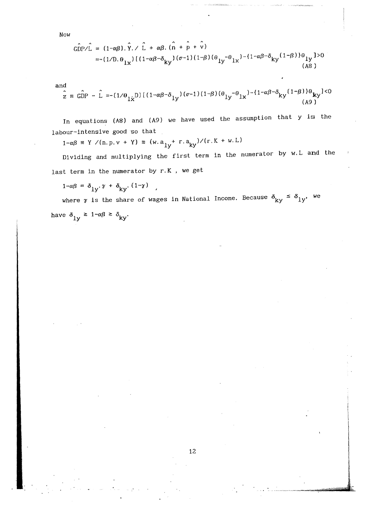Now

$$
\hat{\text{GDP/L}} = (1 - \alpha \beta) \cdot \hat{Y} \cdot \hat{L} + \alpha \beta \cdot (\hat{n} + \hat{p} + \hat{v})
$$
  
= -(1/D.  $\theta_{1x}$ ) [(1- $\alpha\beta$ - $\delta_{ky}$ ) ( $\sigma$ -1)(1- $\beta$ ) ( $\theta_{1y}$ - $\theta_{1x}$ ) - {1- $\alpha\beta$ - $\delta_{ky}$  (1- $\beta$ ) ) $\theta_{1y}$  ]>0  
(A8)

and

$$
\hat{z} = \hat{\text{GDP}} - \hat{L} = (1/\theta_{1\dot{x}}\text{D})\left[\left(1-\alpha\beta-\delta_{1y}\right)(\sigma-1)\left(1-\beta\right)(\theta_{1y}-\theta_{1x}) - \left(1-\alpha\beta-\delta_{ky}\left(1-\beta\right)\right)\theta_{ky}\right] < 0
$$
\n(A9)

In equations (A8) and (A9) we have used the assumption that y is the labour-intensive good so that

 $1-\alpha\beta \ \equiv \ Y \ / (n,p,v \ + \ Y) \ \equiv \ (w.\,a_{1y}^{~+} \ r.\,a_{ky})/ (r.K \ + \ w.L)$ 

Dividing and multiplying the first term in the numerator by w. L and the last term in the numerator by r.K , we get

 $1-\alpha\beta = \delta_{1y} \cdot \gamma + \delta_{ky} \cdot (1-\gamma)$ ,

where  $\gamma$  is the share of wages in National Income. Because  $\delta_{ky} \leq \delta_{ly'}$ , we have  $\delta_{1y} \ge 1-\alpha\beta \ge \delta_{ky}$ .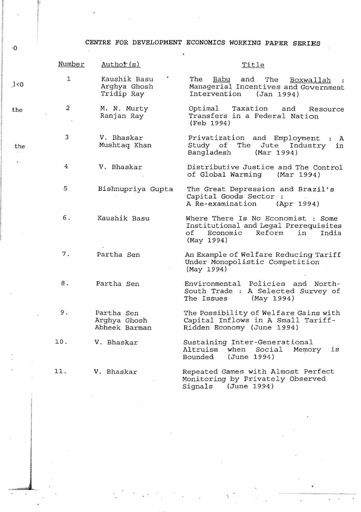CENTRE FOR DEVELOPMENT ECONOMICS WORKING PAPER SERIES

|       | Number         | Author(s)                                   | Title                                                                                                                                |
|-------|----------------|---------------------------------------------|--------------------------------------------------------------------------------------------------------------------------------------|
| 1 < 0 | $\mathbf{I}$   | Kaushik Basu<br>Arghya Ghosh<br>Tridip Ray  | The<br>Babu<br>and<br>The<br>Boxwallah<br>Managerial Incentives and Government<br>Intervention<br>(Jan 1994)                         |
| the   | $\overline{a}$ | M. N. Murty<br>Ranjan Ray                   | Taxation<br>Optimal<br>and<br>Resource<br>Transfers in a Federal Nation<br>(Feb 1994)                                                |
| the   | 3              | V. Bhaskar<br>Mushtaq Khan                  | Privatization and Employment : A<br>Study of The<br>Jute Industry<br>in<br>Bangladesh<br>(Mar 1994)                                  |
|       | 4              | V. Bhaskar                                  | Distributive Justice and The Control<br>of Global Warming (Mar 1994)                                                                 |
|       | 5              | Bishnupriya Gupta                           | The Great Depression and Brazil's<br>Capital Goods Sector :<br>A Re-examination<br>(Apr 1994)                                        |
|       | 6.             | Kaushik Basu                                | Where There Is No Economist ; Some<br>Institutional and Legal Prerequisites<br>Economic<br>Reform<br>of<br>in<br>India<br>(May 1994) |
|       | 7.             | Partha Sen                                  | An Example of Welfare Reducing Tariff<br>Under Monopolistic Competition<br>(May 1994)                                                |
|       | 8.             | Partha Sen                                  | Environmental Policies and North-<br>South Trade : A Selected Survey of<br>(May 1994)<br>The Issues                                  |
|       | 9.             | Partha Sen<br>Arghya Ghosh<br>Abheek Barman | The Possibility of Welfare Gains with<br>Capital Inflows in A Small Tariff-<br>Ridden Economy (June 1994)                            |
|       | 10.            | V. Bhaskar                                  | Sustaining Inter-Generational<br>Altruism<br>when<br>Social<br>Memory<br>is<br>Bounded<br>(June 1994)                                |
|       | 11.            | V. Bhaskar                                  | Repeated Games with Almost Perfect<br>Monitoring by Privately Observed<br>(June 1994)<br>Signals                                     |

 $\cdot\text{O}$